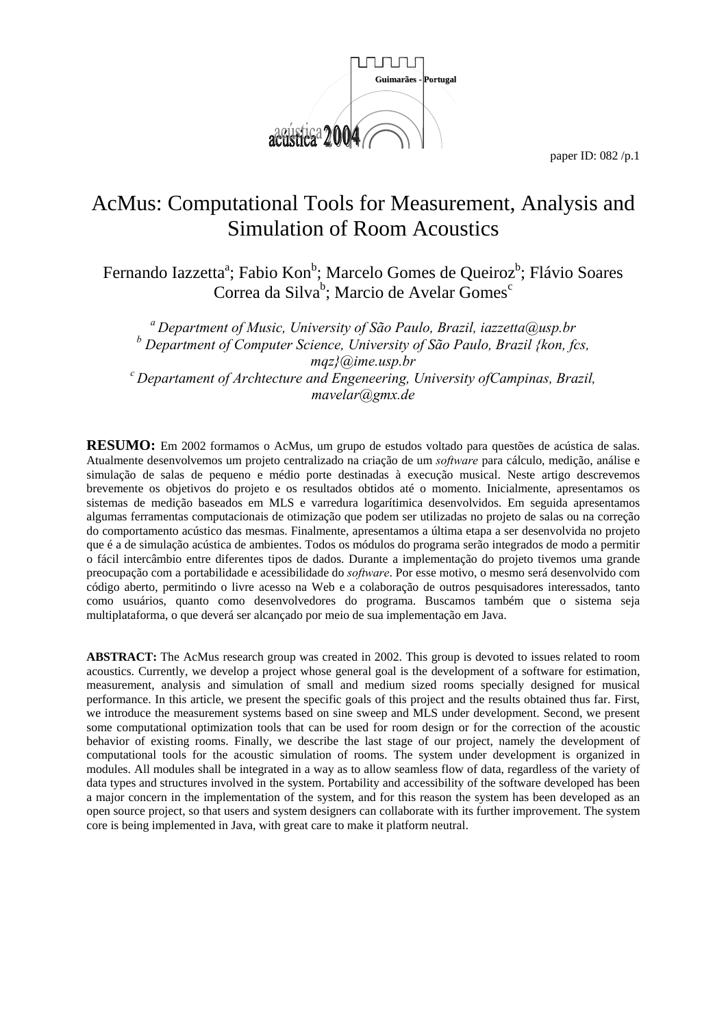

# AcMus: Computational Tools for Measurement, Analysis and Simulation of Room Acoustics

Fernando Iazzetta<sup>a</sup>; Fabio Kon<sup>b</sup>; Marcelo Gomes de Queiroz<sup>b</sup>; Flávio Soares Correa da Silva<sup>b</sup>; Marcio de Avelar Gomes<sup>c</sup>

*a Department of Music, University of São Paulo, Brazil, iazzetta@usp.br b Department of Computer Science, University of São Paulo, Brazil {kon, fcs, mqz}@ime.usp.br*<br>c Departament of Archtecture and Engeneering, University ofCampinas, Brazil, <sup>c</sup> *mavelar@gmx.de* 

**RESUMO:** Em 2002 formamos o AcMus, um grupo de estudos voltado para questões de acústica de salas. Atualmente desenvolvemos um projeto centralizado na criação de um *software* para cálculo, medição, análise e simulação de salas de pequeno e médio porte destinadas à execução musical. Neste artigo descrevemos brevemente os objetivos do projeto e os resultados obtidos até o momento. Inicialmente, apresentamos os sistemas de medição baseados em MLS e varredura logarítimica desenvolvidos. Em seguida apresentamos algumas ferramentas computacionais de otimização que podem ser utilizadas no projeto de salas ou na correção do comportamento acústico das mesmas. Finalmente, apresentamos a última etapa a ser desenvolvida no projeto que é a de simulação acústica de ambientes. Todos os módulos do programa serão integrados de modo a permitir o fácil intercâmbio entre diferentes tipos de dados. Durante a implementação do projeto tivemos uma grande preocupação com a portabilidade e acessibilidade do *software*. Por esse motivo, o mesmo será desenvolvido com código aberto, permitindo o livre acesso na Web e a colaboração de outros pesquisadores interessados, tanto como usuários, quanto como desenvolvedores do programa. Buscamos também que o sistema seja multiplataforma, o que deverá ser alcançado por meio de sua implementação em Java.

**ABSTRACT:** The AcMus research group was created in 2002. This group is devoted to issues related to room acoustics. Currently, we develop a project whose general goal is the development of a software for estimation, measurement, analysis and simulation of small and medium sized rooms specially designed for musical performance. In this article, we present the specific goals of this project and the results obtained thus far. First, we introduce the measurement systems based on sine sweep and MLS under development. Second, we present some computational optimization tools that can be used for room design or for the correction of the acoustic behavior of existing rooms. Finally, we describe the last stage of our project, namely the development of computational tools for the acoustic simulation of rooms. The system under development is organized in modules. All modules shall be integrated in a way as to allow seamless flow of data, regardless of the variety of data types and structures involved in the system. Portability and accessibility of the software developed has been a major concern in the implementation of the system, and for this reason the system has been developed as an open source project, so that users and system designers can collaborate with its further improvement. The system core is being implemented in Java, with great care to make it platform neutral.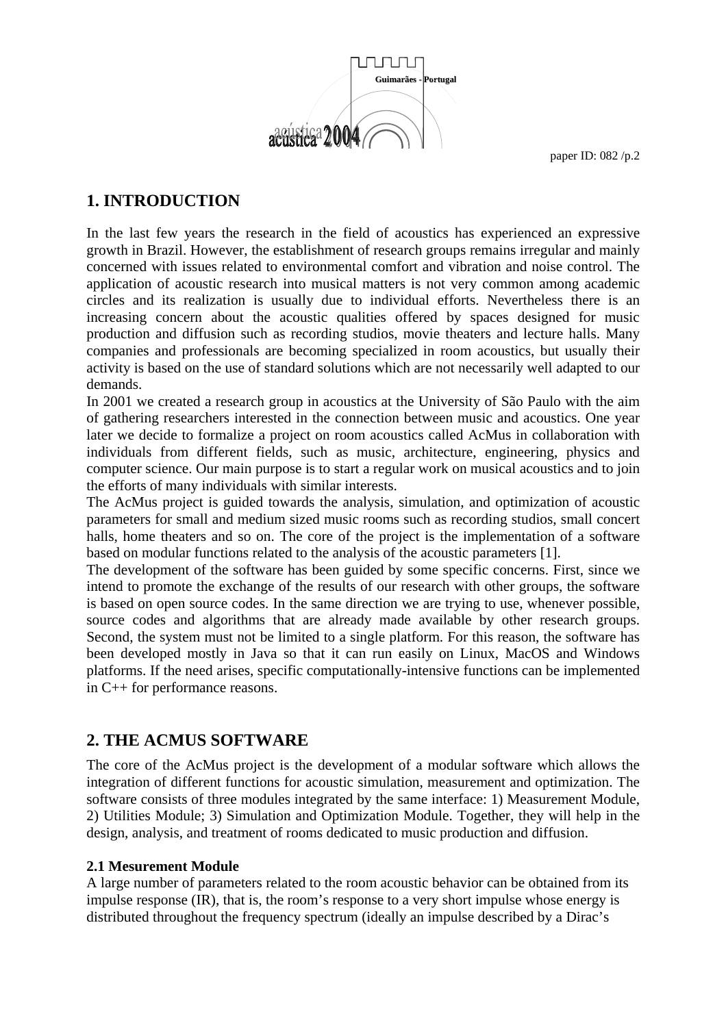

# **1. INTRODUCTION**

In the last few years the research in the field of acoustics has experienced an expressive growth in Brazil. However, the establishment of research groups remains irregular and mainly concerned with issues related to environmental comfort and vibration and noise control. The application of acoustic research into musical matters is not very common among academic circles and its realization is usually due to individual efforts. Nevertheless there is an increasing concern about the acoustic qualities offered by spaces designed for music production and diffusion such as recording studios, movie theaters and lecture halls. Many companies and professionals are becoming specialized in room acoustics, but usually their activity is based on the use of standard solutions which are not necessarily well adapted to our demands.

In 2001 we created a research group in acoustics at the University of São Paulo with the aim of gathering researchers interested in the connection between music and acoustics. One year later we decide to formalize a project on room acoustics called AcMus in collaboration with individuals from different fields, such as music, architecture, engineering, physics and computer science. Our main purpose is to start a regular work on musical acoustics and to join the efforts of many individuals with similar interests.

The AcMus project is guided towards the analysis, simulation, and optimization of acoustic parameters for small and medium sized music rooms such as recording studios, small concert halls, home theaters and so on. The core of the project is the implementation of a software based on modular functions related to the analysis of the acoustic parameters [1].

The development of the software has been guided by some specific concerns. First, since we intend to promote the exchange of the results of our research with other groups, the software is based on open source codes. In the same direction we are trying to use, whenever possible, source codes and algorithms that are already made available by other research groups. Second, the system must not be limited to a single platform. For this reason, the software has been developed mostly in Java so that it can run easily on Linux, MacOS and Windows platforms. If the need arises, specific computationally-intensive functions can be implemented in C++ for performance reasons.

### **2. THE ACMUS SOFTWARE**

The core of the AcMus project is the development of a modular software which allows the integration of different functions for acoustic simulation, measurement and optimization. The software consists of three modules integrated by the same interface: 1) Measurement Module, 2) Utilities Module; 3) Simulation and Optimization Module. Together, they will help in the design, analysis, and treatment of rooms dedicated to music production and diffusion.

#### **2.1 Mesurement Module**

A large number of parameters related to the room acoustic behavior can be obtained from its impulse response (IR), that is, the room's response to a very short impulse whose energy is distributed throughout the frequency spectrum (ideally an impulse described by a Dirac's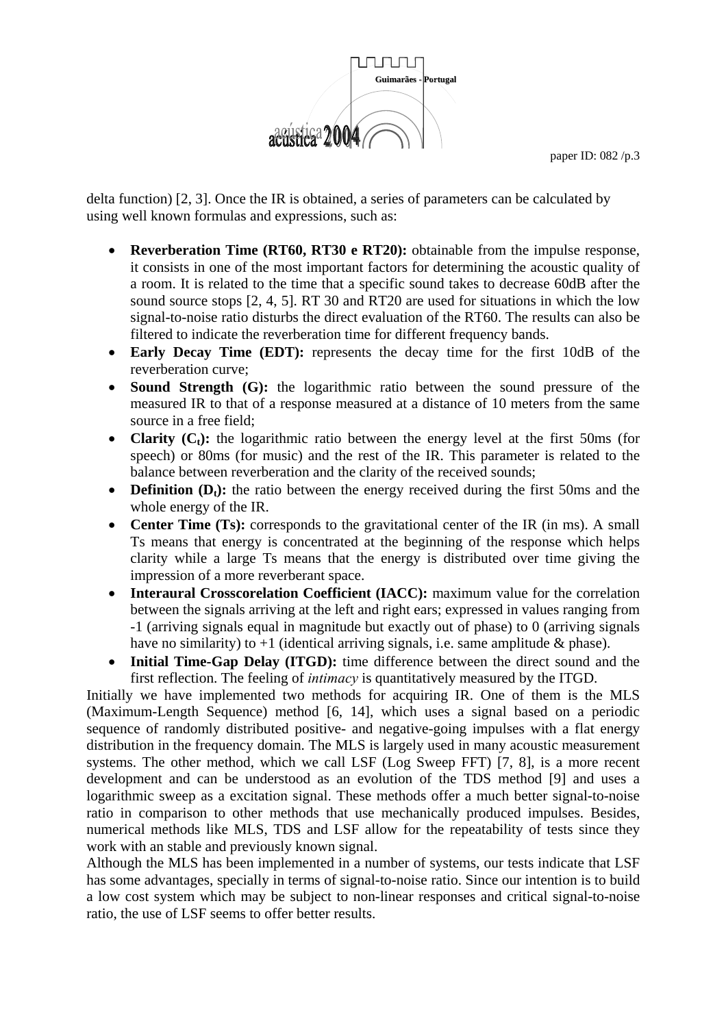

delta function) [2, 3]. Once the IR is obtained, a series of parameters can be calculated by using well known formulas and expressions, such as:

- **Reverberation Time (RT60, RT30 e RT20):** obtainable from the impulse response, it consists in one of the most important factors for determining the acoustic quality of a room. It is related to the time that a specific sound takes to decrease 60dB after the sound source stops [2, 4, 5]. RT 30 and RT20 are used for situations in which the low signal-to-noise ratio disturbs the direct evaluation of the RT60. The results can also be filtered to indicate the reverberation time for different frequency bands.
- **Early Decay Time (EDT):** represents the decay time for the first 10dB of the reverberation curve;
- **Sound Strength (G):** the logarithmic ratio between the sound pressure of the measured IR to that of a response measured at a distance of 10 meters from the same source in a free field;
- **Clarity**  $(C_t)$ : the logarithmic ratio between the energy level at the first 50ms (for speech) or 80ms (for music) and the rest of the IR. This parameter is related to the balance between reverberation and the clarity of the received sounds;
- **Definition (D<sub>t</sub>):** the ratio between the energy received during the first 50ms and the whole energy of the IR.
- **Center Time (Ts):** corresponds to the gravitational center of the IR (in ms). A small Ts means that energy is concentrated at the beginning of the response which helps clarity while a large Ts means that the energy is distributed over time giving the impression of a more reverberant space.
- **Interaural Crosscorelation Coefficient (IACC):** maximum value for the correlation between the signals arriving at the left and right ears; expressed in values ranging from -1 (arriving signals equal in magnitude but exactly out of phase) to 0 (arriving signals have no similarity) to  $+1$  (identical arriving signals, i.e. same amplitude  $\&$  phase).
- **Initial Time-Gap Delay (ITGD):** time difference between the direct sound and the first reflection. The feeling of *intimacy* is quantitatively measured by the ITGD.

Initially we have implemented two methods for acquiring IR. One of them is the MLS (Maximum-Length Sequence) method [6, 14], which uses a signal based on a periodic sequence of randomly distributed positive- and negative-going impulses with a flat energy distribution in the frequency domain. The MLS is largely used in many acoustic measurement systems. The other method, which we call LSF (Log Sweep FFT) [7, 8], is a more recent development and can be understood as an evolution of the TDS method [9] and uses a logarithmic sweep as a excitation signal. These methods offer a much better signal-to-noise ratio in comparison to other methods that use mechanically produced impulses. Besides, numerical methods like MLS, TDS and LSF allow for the repeatability of tests since they work with an stable and previously known signal.

Although the MLS has been implemented in a number of systems, our tests indicate that LSF has some advantages, specially in terms of signal-to-noise ratio. Since our intention is to build a low cost system which may be subject to non-linear responses and critical signal-to-noise ratio, the use of LSF seems to offer better results.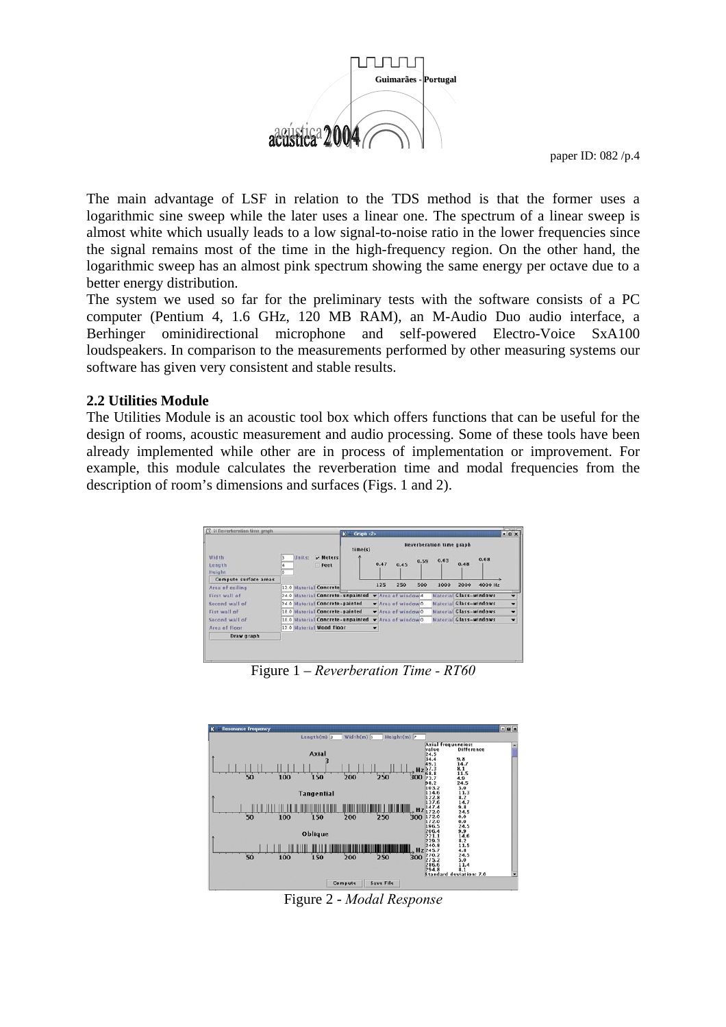

The main advantage of LSF in relation to the TDS method is that the former uses a logarithmic sine sweep while the later uses a linear one. The spectrum of a linear sweep is almost white which usually leads to a low signal-to-noise ratio in the lower frequencies since the signal remains most of the time in the high-frequency region. On the other hand, the logarithmic sweep has an almost pink spectrum showing the same energy per octave due to a better energy distribution.

The system we used so far for the preliminary tests with the software consists of a PC computer (Pentium 4, 1.6 GHz, 120 MB RAM), an M-Audio Duo audio interface, a Berhinger ominidirectional microphone and self-powered Electro-Voice SxA100 loudspeakers. In comparison to the measurements performed by other measuring systems our software has given very consistent and stable results.

#### **2.2 Utilities Module**

The Utilities Module is an acoustic tool box which offers functions that can be useful for the design of rooms, acoustic measurement and audio processing. Some of these tools have been already implemented while other are in process of implementation or improvement. For example, this module calculates the reverberation time and modal frequencies from the description of room's dimensions and surfaces (Figs. 1 and 2).



Figure 1 – *Reverberation Time - RT60*



Figure 2 - *Modal Response*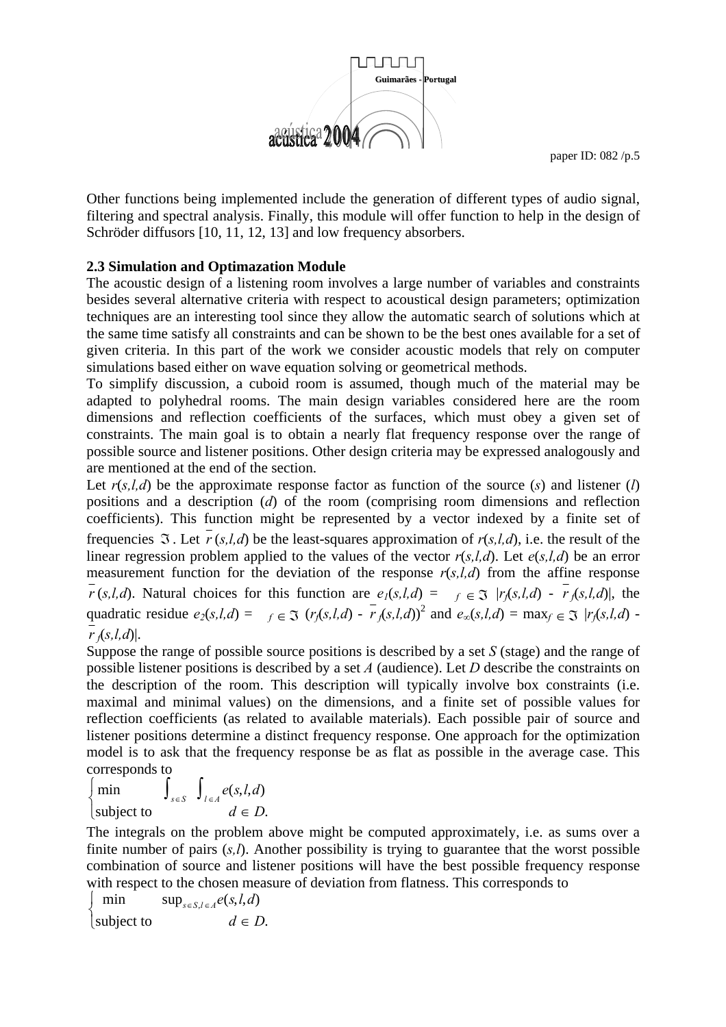

Other functions being implemented include the generation of different types of audio signal, filtering and spectral analysis. Finally, this module will offer function to help in the design of Schröder diffusors [10, 11, 12, 13] and low frequency absorbers.

#### **2.3 Simulation and Optimazation Module**

The acoustic design of a listening room involves a large number of variables and constraints besides several alternative criteria with respect to acoustical design parameters; optimization techniques are an interesting tool since they allow the automatic search of solutions which at the same time satisfy all constraints and can be shown to be the best ones available for a set of given criteria. In this part of the work we consider acoustic models that rely on computer simulations based either on wave equation solving or geometrical methods.

To simplify discussion, a cuboid room is assumed, though much of the material may be adapted to polyhedral rooms. The main design variables considered here are the room dimensions and reflection coefficients of the surfaces, which must obey a given set of constraints. The main goal is to obtain a nearly flat frequency response over the range of possible source and listener positions. Other design criteria may be expressed analogously and are mentioned at the end of the section.

Let  $r(s,l,d)$  be the approximate response factor as function of the source  $(s)$  and listener  $(l)$ positions and a description (*d*) of the room (comprising room dimensions and reflection coefficients). This function might be represented by a vector indexed by a finite set of frequencies  $\Im$ . Let  $r(s,l,d)$  be the least-squares approximation of  $r(s,l,d)$ , i.e. the result of the linear regression problem applied to the values of the vector *r*(*s,l,d*). Let *e*(*s,l,d*) be an error measurement function for the deviation of the response  $r(s,l,d)$  from the affine response  $\overline{r}(s,l,d)$ . Natural choices for this function are  $e_1(s,l,d) = \overline{r}(s,l,d) - \overline{r}(s,l,d)$ , the quadratic residue  $e_2(s, l, d) = f \in \mathfrak{I}$   $(r_f(s, l, d) - r_f(s, l, d))^2$  and  $e_0(s, l, d) = \max_f \in \mathfrak{I}$   $|r_f(s, l, d) - r_f(s, l, d)|$  $r$   $(fs, l, d)$ .

Suppose the range of possible source positions is described by a set *S* (stage) and the range of possible listener positions is described by a set *A* (audience). Let *D* describe the constraints on the description of the room. This description will typically involve box constraints (i.e. maximal and minimal values) on the dimensions, and a finite set of possible values for reflection coefficients (as related to available materials). Each possible pair of source and listener positions determine a distinct frequency response. One approach for the optimization model is to ask that the frequency response be as flat as possible in the average case. This corresponds to

$$
\begin{cases} \min \qquad \int_{s \in S} \int_{l \in A} e(s, l, d) \\ \text{subject to} \qquad \qquad d \in D. \end{cases}
$$

The integrals on the problem above might be computed approximately, i.e. as sums over a finite number of pairs  $(s, l)$ . Another possibility is trying to guarantee that the worst possible combination of source and listener positions will have the best possible frequency response with respect to the chosen measure of deviation from flatness. This corresponds to

min  $\sup_{s \in S} \log_{l \in A} e(s, l, d)$  $\begin{cases} \n\text{subject to} \\
d \in D. \n\end{cases}$  $\sqrt{2}$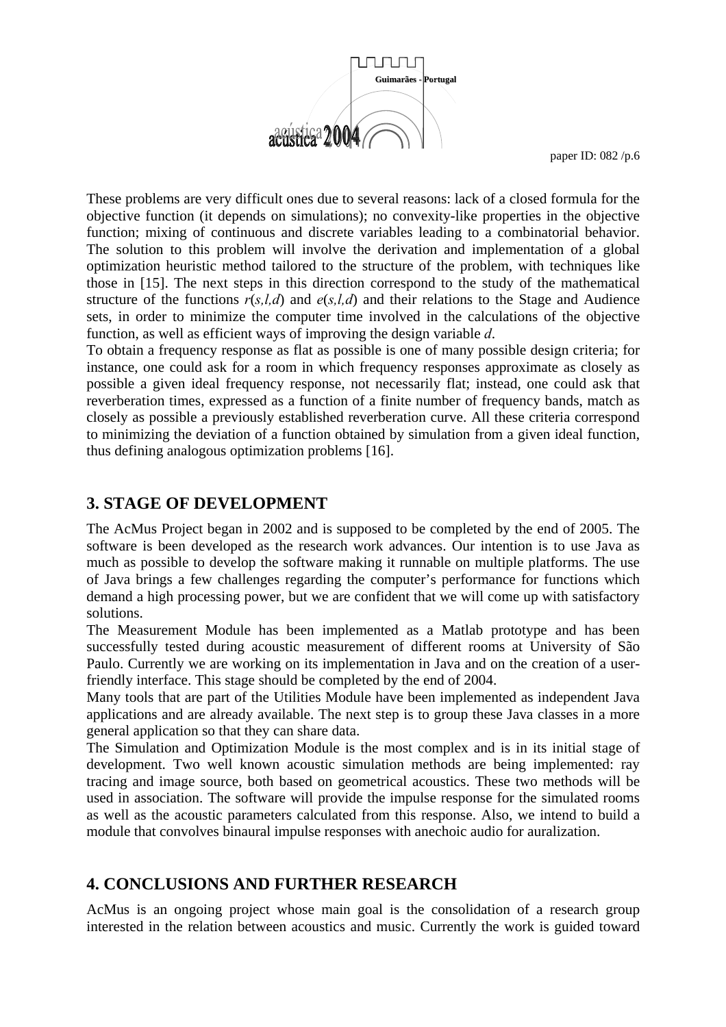

These problems are very difficult ones due to several reasons: lack of a closed formula for the objective function (it depends on simulations); no convexity-like properties in the objective function; mixing of continuous and discrete variables leading to a combinatorial behavior. The solution to this problem will involve the derivation and implementation of a global optimization heuristic method tailored to the structure of the problem, with techniques like those in [15]. The next steps in this direction correspond to the study of the mathematical structure of the functions  $r(s,l,d)$  and  $e(s,l,d)$  and their relations to the Stage and Audience sets, in order to minimize the computer time involved in the calculations of the objective function, as well as efficient ways of improving the design variable *d*.

To obtain a frequency response as flat as possible is one of many possible design criteria; for instance, one could ask for a room in which frequency responses approximate as closely as possible a given ideal frequency response, not necessarily flat; instead, one could ask that reverberation times, expressed as a function of a finite number of frequency bands, match as closely as possible a previously established reverberation curve. All these criteria correspond to minimizing the deviation of a function obtained by simulation from a given ideal function, thus defining analogous optimization problems [16].

## **3. STAGE OF DEVELOPMENT**

The AcMus Project began in 2002 and is supposed to be completed by the end of 2005. The software is been developed as the research work advances. Our intention is to use Java as much as possible to develop the software making it runnable on multiple platforms. The use of Java brings a few challenges regarding the computer's performance for functions which demand a high processing power, but we are confident that we will come up with satisfactory solutions.

The Measurement Module has been implemented as a Matlab prototype and has been successfully tested during acoustic measurement of different rooms at University of São Paulo. Currently we are working on its implementation in Java and on the creation of a userfriendly interface. This stage should be completed by the end of 2004.

Many tools that are part of the Utilities Module have been implemented as independent Java applications and are already available. The next step is to group these Java classes in a more general application so that they can share data.

The Simulation and Optimization Module is the most complex and is in its initial stage of development. Two well known acoustic simulation methods are being implemented: ray tracing and image source, both based on geometrical acoustics. These two methods will be used in association. The software will provide the impulse response for the simulated rooms as well as the acoustic parameters calculated from this response. Also, we intend to build a module that convolves binaural impulse responses with anechoic audio for auralization.

# **4. CONCLUSIONS AND FURTHER RESEARCH**

AcMus is an ongoing project whose main goal is the consolidation of a research group interested in the relation between acoustics and music. Currently the work is guided toward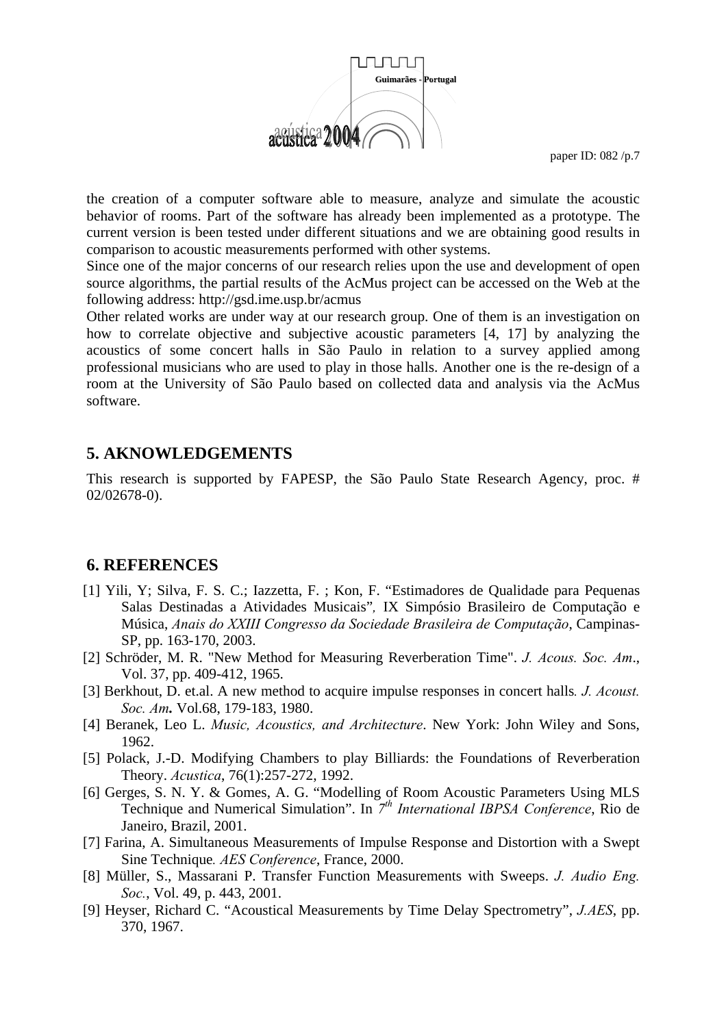

the creation of a computer software able to measure, analyze and simulate the acoustic behavior of rooms. Part of the software has already been implemented as a prototype. The current version is been tested under different situations and we are obtaining good results in comparison to acoustic measurements performed with other systems.

Since one of the major concerns of our research relies upon the use and development of open source algorithms, the partial results of the AcMus project can be accessed on the Web at the following address: http://gsd.ime.usp.br/acmus

Other related works are under way at our research group. One of them is an investigation on how to correlate objective and subjective acoustic parameters [4, 17] by analyzing the acoustics of some concert halls in São Paulo in relation to a survey applied among professional musicians who are used to play in those halls. Another one is the re-design of a room at the University of São Paulo based on collected data and analysis via the AcMus software.

#### **5. AKNOWLEDGEMENTS**

This research is supported by FAPESP, the São Paulo State Research Agency, proc. # 02/02678-0).

#### **6. REFERENCES**

- [1] Yili, Y; Silva, F. S. C.; Iazzetta, F. ; Kon, F. "Estimadores de Qualidade para Pequenas Salas Destinadas a Atividades Musicais"*,* IX Simpósio Brasileiro de Computação e Música, *Anais do XXIII Congresso da Sociedade Brasileira de Computação*, Campinas-SP, pp. 163-170, 2003.
- [2] Schröder, M. R. "New Method for Measuring Reverberation Time". *J. Acous. Soc. Am*., Vol. 37, pp. 409-412, 1965.
- [3] Berkhout, D. et.al. A new method to acquire impulse responses in concert halls*. J. Acoust. Soc. Am.* Vol.68, 179-183, 1980.
- [4] Beranek, Leo L. *Music, Acoustics, and Architecture*. New York: John Wiley and Sons, 1962.
- [5] Polack, J.-D. Modifying Chambers to play Billiards: the Foundations of Reverberation Theory. *Acustica*, 76(1):257-272, 1992.
- [6] Gerges, S. N. Y. & Gomes, A. G. "Modelling of Room Acoustic Parameters Using MLS Technique and Numerical Simulation". In *7th International IBPSA Conference*, Rio de Janeiro, Brazil, 2001.
- [7] Farina, A. Simultaneous Measurements of Impulse Response and Distortion with a Swept Sine Technique*. AES Conference*, France, 2000.
- [8] Müller, S., Massarani P. Transfer Function Measurements with Sweeps. *J. Audio Eng. Soc.*, Vol. 49, p. 443, 2001.
- [9] Heyser, Richard C. "Acoustical Measurements by Time Delay Spectrometry", *J.AES*, pp. 370, 1967.